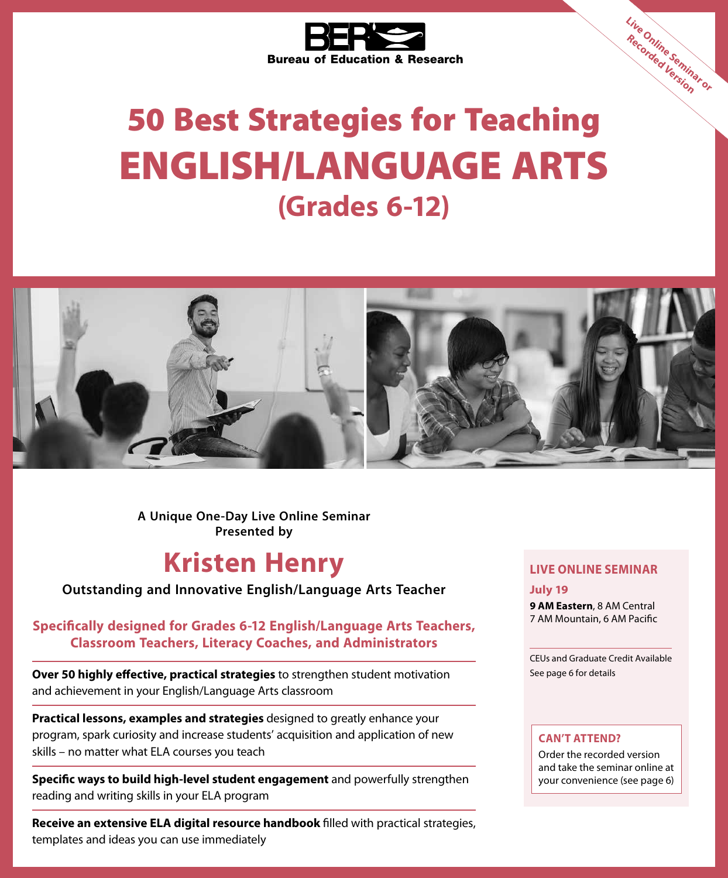

# 50 Best Strategies for Teaching ENGLISH/LANGUAGE ARTS **(Grades 6-12)**



**A Unique One-Day Live Online Seminar Presented by**

## **Kristen Henry**

#### **Outstanding and Innovative English/Language Arts Teacher**

#### **Specifically designed for Grades 6‑12 English/Language Arts Teachers, Classroom Teachers, Literacy Coaches, and Administrators**

**Over 50 highly effective, practical strategies** to strengthen student motivation and achievement in your English/Language Arts classroom

**Practical lessons, examples and strategies** designed to greatly enhance your program, spark curiosity and increase students' acquisition and application of new skills – no matter what ELA courses you teach

**Specific ways to build high-level student engagement** and powerfully strengthen reading and writing skills in your ELA program

**Receive an extensive ELA digital resource handbook** filled with practical strategies, templates and ideas you can use immediately

#### **LIVE ONLINE SEMINAR**

**Live Online Seminar or Recorded Version**

#### **July 19**

**9 AM Eastern**, 8 AM Central 7 AM Mountain, 6 AM Pacific

CEUs and Graduate Credit Available See page 6 for details

#### **CAN'T ATTEND?**

Order the recorded version and take the seminar online at your convenience (see page 6)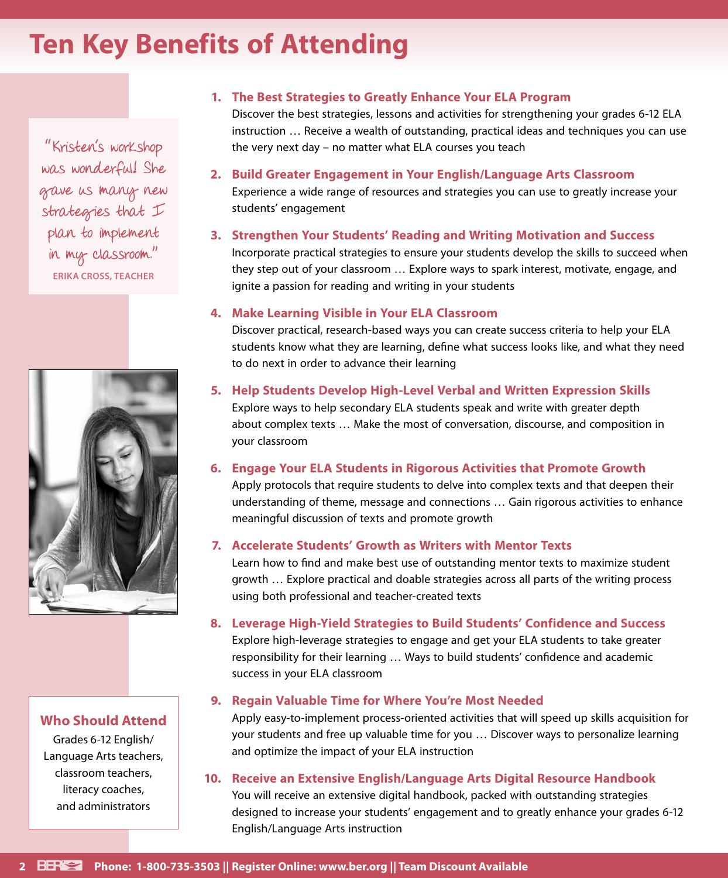## **Ten Key Benefits of Attending**

"Kristen's workshop was wonderful! She gave us many new strategies that I plan to implement in my classroom." **ERIKA CROSS, TEACHER**



#### **Who Should Attend**

Grades 6‑12 English/ Language Arts teachers, classroom teachers, literacy coaches, and administrators

#### **1. The Best Strategies to Greatly Enhance Your ELA Program**

Discover the best strategies, lessons and activities for strengthening your grades 6-12 ELA instruction … Receive a wealth of outstanding, practical ideas and techniques you can use the very next day – no matter what ELA courses you teach

**2. Build Greater Engagement in Your English/Language Arts Classroom** Experience a wide range of resources and strategies you can use to greatly increase your students' engagement

#### **3. Strengthen Your Students' Reading and Writing Motivation and Success**

Incorporate practical strategies to ensure your students develop the skills to succeed when they step out of your classroom … Explore ways to spark interest, motivate, engage, and ignite a passion for reading and writing in your students

#### **4. Make Learning Visible in Your ELA Classroom**

Discover practical, research-based ways you can create success criteria to help your ELA students know what they are learning, define what success looks like, and what they need to do next in order to advance their learning

#### **5. Help Students Develop High-Level Verbal and Written Expression Skills**

Explore ways to help secondary ELA students speak and write with greater depth about complex texts … Make the most of conversation, discourse, and composition in your classroom

#### **6. Engage Your ELA Students in Rigorous Activities that Promote Growth**

Apply protocols that require students to delve into complex texts and that deepen their understanding of theme, message and connections … Gain rigorous activities to enhance meaningful discussion of texts and promote growth

#### **7. Accelerate Students' Growth as Writers with Mentor Texts**

Learn how to find and make best use of outstanding mentor texts to maximize student growth … Explore practical and doable strategies across all parts of the writing process using both professional and teacher-created texts

#### **8. Leverage High-Yield Strategies to Build Students' Confidence and Success**

Explore high-leverage strategies to engage and get your ELA students to take greater responsibility for their learning … Ways to build students' confidence and academic success in your ELA classroom

#### **9. Regain Valuable Time for Where You're Most Needed**

Apply easy-to-implement process-oriented activities that will speed up skills acquisition for your students and free up valuable time for you … Discover ways to personalize learning and optimize the impact of your ELA instruction

#### **10. Receive an Extensive English/Language Arts Digital Resource Handbook**

You will receive an extensive digital handbook, packed with outstanding strategies designed to increase your students' engagement and to greatly enhance your grades 6-12 English/Language Arts instruction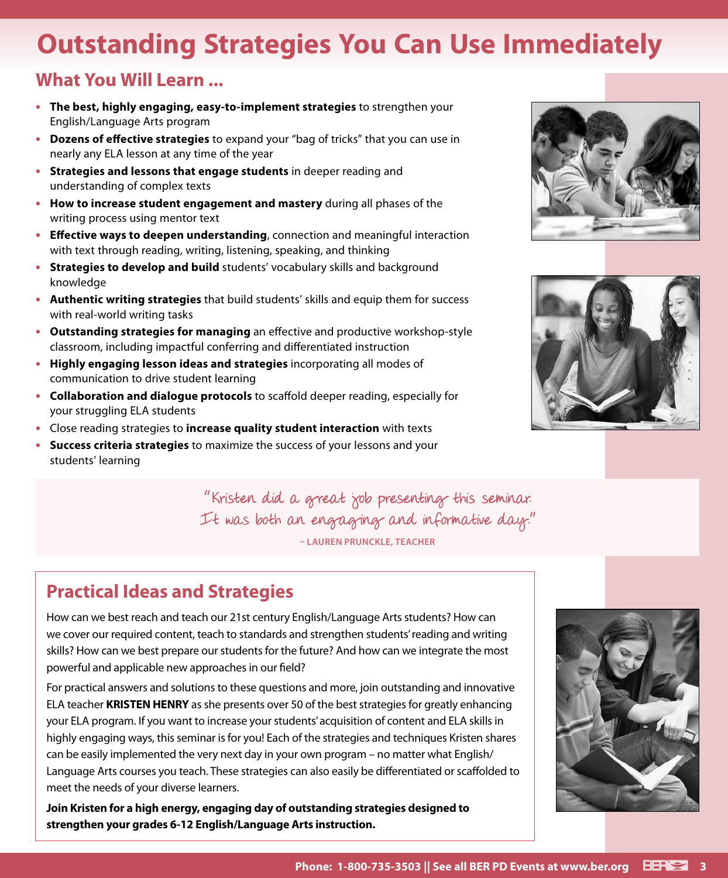## **Outstanding Strategies You Can Use Immediately**

### **What You Will Learn ...**

- **• The best, highly engaging, easy-to-implement strategies** to strengthen your English/Language Arts program
- **• Dozens of effective strategies** to expand your "bag of tricks" that you can use in nearly any ELA lesson at any time of the year
- **• Strategies and lessons that engage students** in deeper reading and understanding of complex texts
- **• How to increase student engagement and mastery** during all phases of the writing process using mentor text
- **• Effective ways to deepen understanding**, connection and meaningful interaction with text through reading, writing, listening, speaking, and thinking
- **• Strategies to develop and build** students' vocabulary skills and background knowledge
- **• Authentic writing strategies** that build students' skills and equip them for success with real-world writing tasks
- **• Outstanding strategies for managing** an effective and productive workshop-style classroom, including impactful conferring and differentiated instruction
- **• Highly engaging lesson ideas and strategies** incorporating all modes of communication to drive student learning
- **• Collaboration and dialogue protocols** to scaffold deeper reading, especially for your struggling ELA students
- **•** Close reading strategies to **increase quality student interaction** with texts
- **• Success criteria strategies** to maximize the success of your lessons and your students' learning





"Kristen did a great job presenting this seminar. It was both an engaging and informative day." **– LAUREN PRUNCKLE, TEACHER**

### **Practical Ideas and Strategies**

How can we best reach and teach our 21st century English/Language Arts students? How can we cover our required content, teach to standards and strengthen students' reading and writing skills? How can we best prepare our students for the future? And how can we integrate the most powerful and applicable new approaches in our field?

For practical answers and solutions to these questions and more, join outstanding and innovative ELA teacher **KRISTEN HENRY** as she presents over 50 of the best strategies for greatly enhancing your ELA program. If you want to increase your students' acquisition of content and ELA skills in highly engaging ways, this seminar is for you! Each of the strategies and techniques Kristen shares can be easily implemented the very next day in your own program – no matter what English/ Language Arts courses you teach. These strategies can also easily be differentiated or scaffolded to meet the needs of your diverse learners.

**Join Kristen for a high energy, engaging day of outstanding strategies designed to strengthen your grades 6-12 English/Language Arts instruction.** 

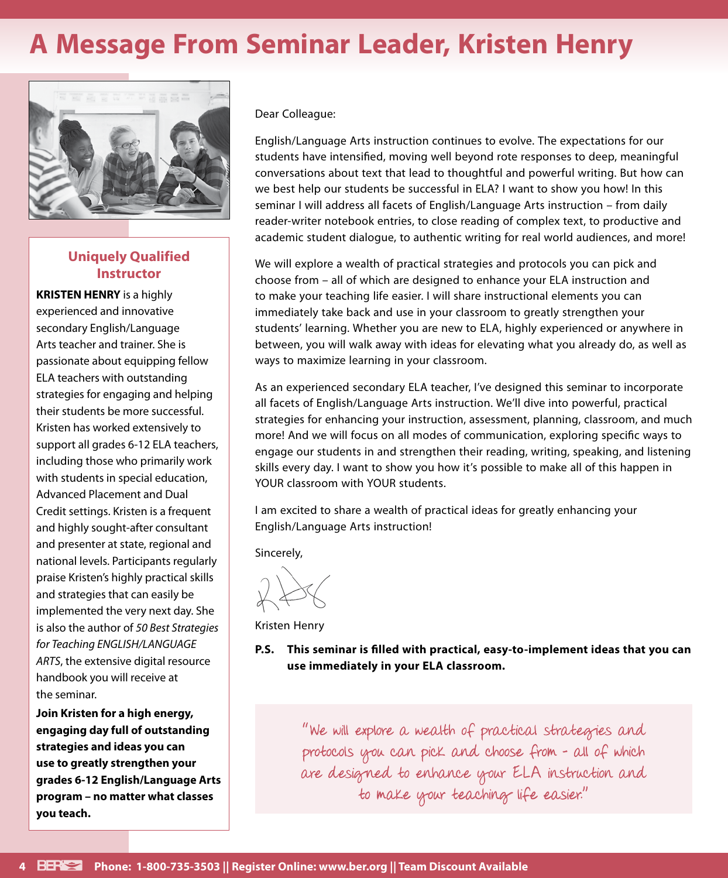## **A Message From Seminar Leader, Kristen Henry**



#### **Uniquely Qualified Instructor**

**KRISTEN HENRY** is a highly experienced and innovative secondary English/Language Arts teacher and trainer. She is passionate about equipping fellow ELA teachers with outstanding strategies for engaging and helping their students be more successful. Kristen has worked extensively to support all grades 6-12 ELA teachers, including those who primarily work with students in special education, Advanced Placement and Dual Credit settings. Kristen is a frequent and highly sought-after consultant and presenter at state, regional and national levels. Participants regularly praise Kristen's highly practical skills and strategies that can easily be implemented the very next day. She is also the author of *50 Best Strategies for Teaching ENGLISH/LANGUAGE ARTS*, the extensive digital resource handbook you will receive at the seminar.

**Join Kristen for a high energy, engaging day full of outstanding strategies and ideas you can use to greatly strengthen your grades 6-12 English/Language Arts program – no matter what classes you teach.**

Dear Colleague:

English/Language Arts instruction continues to evolve. The expectations for our students have intensified, moving well beyond rote responses to deep, meaningful conversations about text that lead to thoughtful and powerful writing. But how can we best help our students be successful in ELA? I want to show you how! In this seminar I will address all facets of English/Language Arts instruction – from daily reader-writer notebook entries, to close reading of complex text, to productive and academic student dialogue, to authentic writing for real world audiences, and more!

We will explore a wealth of practical strategies and protocols you can pick and choose from – all of which are designed to enhance your ELA instruction and to make your teaching life easier. I will share instructional elements you can immediately take back and use in your classroom to greatly strengthen your students' learning. Whether you are new to ELA, highly experienced or anywhere in between, you will walk away with ideas for elevating what you already do, as well as ways to maximize learning in your classroom.

As an experienced secondary ELA teacher, I've designed this seminar to incorporate all facets of English/Language Arts instruction. We'll dive into powerful, practical strategies for enhancing your instruction, assessment, planning, classroom, and much more! And we will focus on all modes of communication, exploring specific ways to engage our students in and strengthen their reading, writing, speaking, and listening skills every day. I want to show you how it's possible to make all of this happen in YOUR classroom with YOUR students.

I am excited to share a wealth of practical ideas for greatly enhancing your English/Language Arts instruction!

Sincerely,

Kristen Henry

**P.S. This seminar is filled with practical, easy-to-implement ideas that you can use immediately in your ELA classroom.**

> "We will explore a wealth of practical strategies and protocols you can pick and choose from – all of which are designed to enhance your ELA instruction and to make your teaching life easier."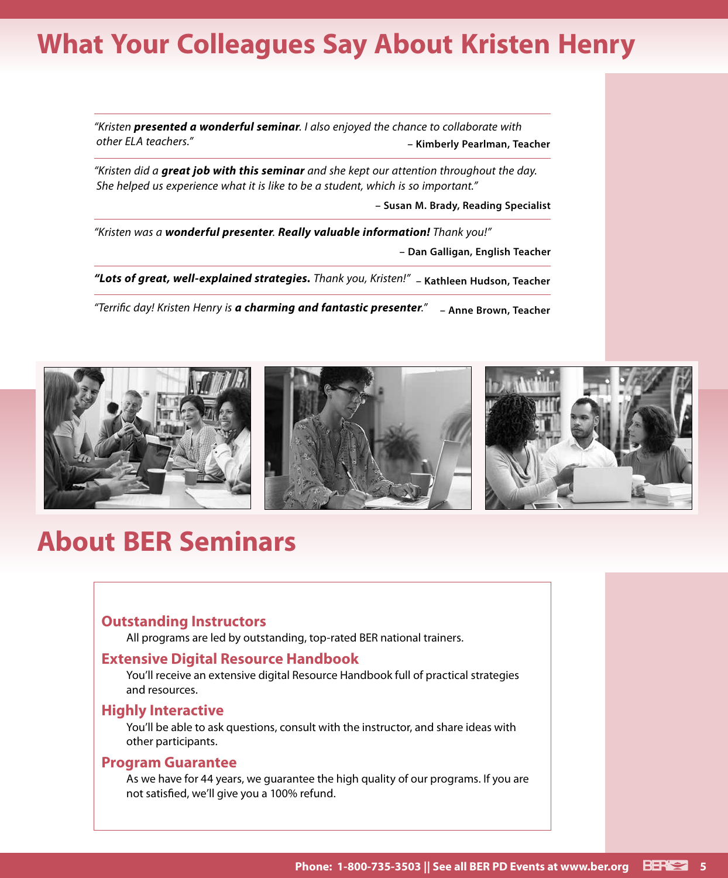### **What Your Colleagues Say About Kristen Henry**

*"Kristen presented a wonderful seminar. I also enjoyed the chance to collaborate with other ELA teachers."* **– Kimberly Pearlman, Teacher**

*"Kristen did a great job with this seminar and she kept our attention throughout the day. She helped us experience what it is like to be a student, which is so important."*

**– Susan M. Brady, Reading Specialist**

*"Kristen was a wonderful presenter. Really valuable information! Thank you!"* **– Dan Galligan, English Teacher**

*"Lots of great, well-explained strategies. Thank you, Kristen!"* **– Kathleen Hudson, Teacher**

*"Terrific day! Kristen Henry is a charming and fantastic presenter."* **– Anne Brown, Teacher**



### **About BER Seminars**

#### **Outstanding Instructors**

All programs are led by outstanding, top-rated BER national trainers.

#### **Extensive Digital Resource Handbook**

You'll receive an extensive digital Resource Handbook full of practical strategies and resources.

#### **Highly Interactive**

You'll be able to ask questions, consult with the instructor, and share ideas with other participants.

#### **Program Guarantee**

As we have for 44 years, we guarantee the high quality of our programs. If you are not satisfied, we'll give you a 100% refund.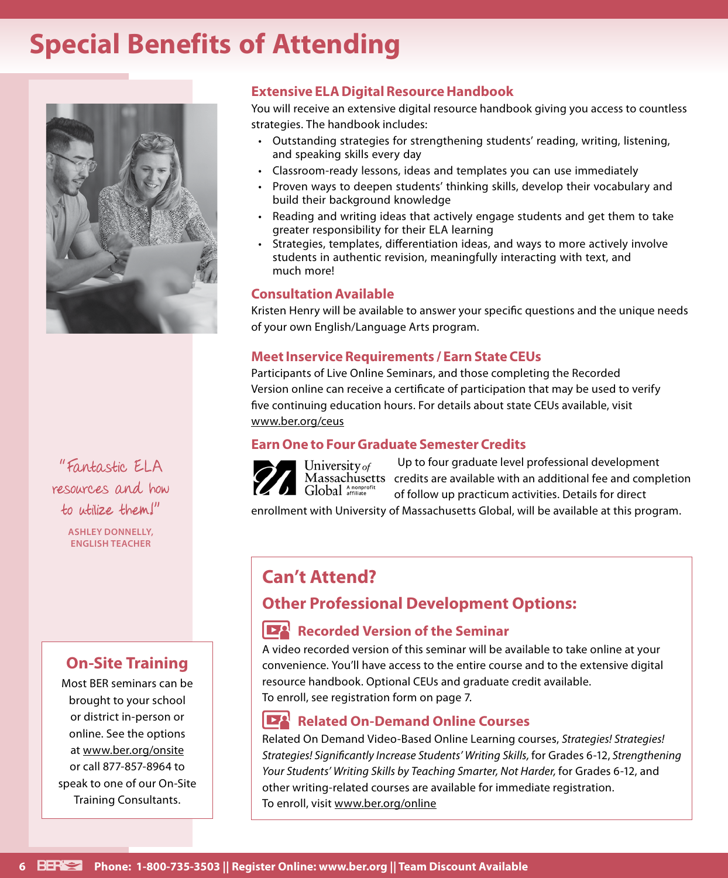## **Special Benefits of Attending**



"Fantastic ELA resources and how to utilize them!"

> **ASHLEY DONNELLY, ENGLISH TEACHER**

#### **On‑Site Training**

Most BER seminars can be brought to your school or district in-person or online. See the options at www.ber.org/onsite or call 877‑857‑8964 to speak to one of our On‑Site Training Consultants.

#### **Extensive ELA Digital Resource Handbook**

You will receive an extensive digital resource handbook giving you access to countless strategies. The handbook includes:

- Outstanding strategies for strengthening students' reading, writing, listening, and speaking skills every day
- Classroom-ready lessons, ideas and templates you can use immediately
- Proven ways to deepen students' thinking skills, develop their vocabulary and build their background knowledge
- Reading and writing ideas that actively engage students and get them to take greater responsibility for their ELA learning
- Strategies, templates, differentiation ideas, and ways to more actively involve students in authentic revision, meaningfully interacting with text, and much more!

#### **Consultation Available**

Kristen Henry will be available to answer your specific questions and the unique needs of your own English/Language Arts program.

#### **Meet Inservice Requirements / Earn State CEUs**

Participants of Live Online Seminars, and those completing the Recorded Version online can receive a certificate of participation that may be used to verify five continuing education hours. For details about state CEUs available, visit www.ber.org/ceus

#### **Earn One to Four Graduate Semester Credits**



University of Global Anonprofi

Up to four graduate level professional development Massachusetts credits are available with an additional fee and completion of follow up practicum activities. Details for direct

enrollment with University of Massachusetts Global, will be available at this program.

### **Can't Attend?**

#### **Other Professional Development Options:**

#### **Recorded Version of the Seminar**

A video recorded version of this seminar will be available to take online at your convenience. You'll have access to the entire course and to the extensive digital resource handbook. Optional CEUs and graduate credit available. To enroll, see registration form on page 7.

#### **Related On-Demand Online Courses**

Related On Demand Video-Based Online Learning courses, *Strategies! Strategies! Strategies! Significantly Increase Students' Writing Skills,* for Grades 6-12, *Strengthening Your Students' Writing Skills by Teaching Smarter, Not Harder,* for Grades 6-12, and other writing-related courses are available for immediate registration. To enroll, visit www.ber.org/online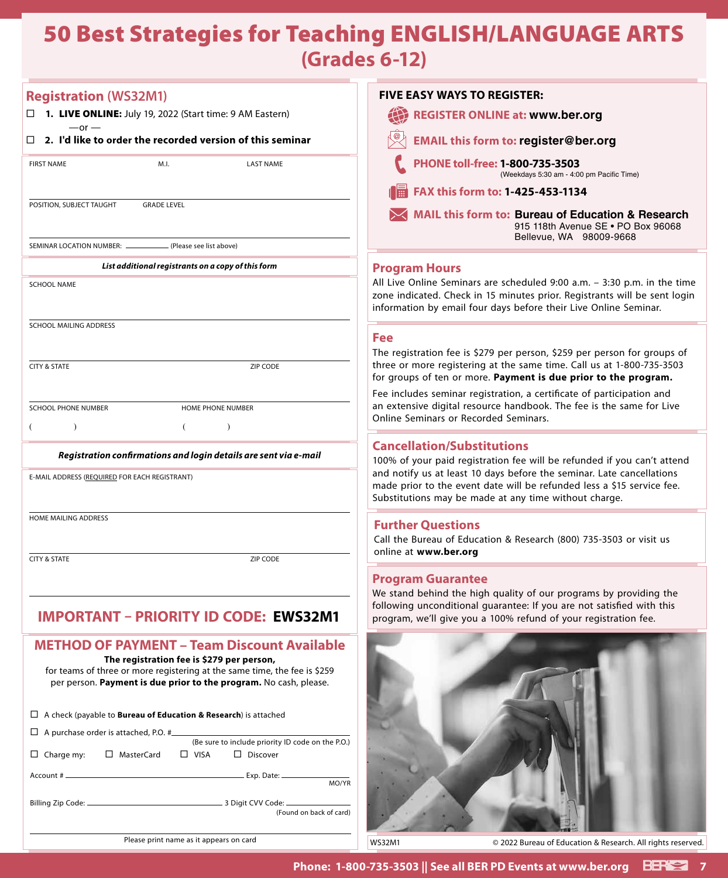### 50 Best Strategies for Teaching ENGLISH/LANGUAGE ARTS **(Grades 6-12)**

| <b>Registration (WS32M1)</b>                                                                                                                                                                | <b>FIVE EASY WAYS TO REGISTER:</b>                                                                                                                                                                                        |
|---------------------------------------------------------------------------------------------------------------------------------------------------------------------------------------------|---------------------------------------------------------------------------------------------------------------------------------------------------------------------------------------------------------------------------|
| $\Box$ <b>1. LIVE ONLINE:</b> July 19, 2022 (Start time: 9 AM Eastern)<br>$-$ or $-$                                                                                                        | 轮<br><b>REGISTER ONLINE at: www.ber.org</b>                                                                                                                                                                               |
| $\Box$ 2. I'd like to order the recorded version of this seminar                                                                                                                            | <b>EMAIL this form to: register@ber.org</b>                                                                                                                                                                               |
| <b>FIRST NAME</b><br>M.I.<br><b>LAST NAME</b>                                                                                                                                               | PHONE toll-free: 1-800-735-3503<br>(Weekdays 5:30 am - 4:00 pm Pacific Time)                                                                                                                                              |
|                                                                                                                                                                                             | FAX this form to: 1-425-453-1134<br>酾                                                                                                                                                                                     |
| POSITION, SUBJECT TAUGHT<br><b>GRADE LEVEL</b>                                                                                                                                              | MAIL this form to: Bureau of Education & Research<br>915 118th Avenue SE . PO Box 96068<br>Bellevue, WA 98009-9668                                                                                                        |
| SEMINAR LOCATION NUMBER: _<br>(Please see list above)                                                                                                                                       |                                                                                                                                                                                                                           |
| List additional registrants on a copy of this form                                                                                                                                          | <b>Program Hours</b>                                                                                                                                                                                                      |
| <b>SCHOOL NAME</b>                                                                                                                                                                          | All Live Online Seminars are scheduled 9:00 a.m. - 3:30 p.m. in the time<br>zone indicated. Check in 15 minutes prior. Registrants will be sent login<br>information by email four days before their Live Online Seminar. |
| SCHOOL MAILING ADDRESS                                                                                                                                                                      | <b>Fee</b>                                                                                                                                                                                                                |
|                                                                                                                                                                                             | The registration fee is \$279 per person, \$259 per person for groups of                                                                                                                                                  |
| ZIP CODE<br><b>CITY &amp; STATE</b>                                                                                                                                                         | three or more registering at the same time. Call us at 1-800-735-3503<br>for groups of ten or more. Payment is due prior to the program.                                                                                  |
|                                                                                                                                                                                             | Fee includes seminar registration, a certificate of participation and<br>an extensive digital resource handbook. The fee is the same for Live                                                                             |
| <b>SCHOOL PHONE NUMBER</b><br>HOME PHONE NUMBER<br>$\lambda$<br>$\lambda$                                                                                                                   | Online Seminars or Recorded Seminars.                                                                                                                                                                                     |
|                                                                                                                                                                                             | <b>Cancellation/Substitutions</b>                                                                                                                                                                                         |
| Registration confirmations and login details are sent via e-mail                                                                                                                            | 100% of your paid registration fee will be refunded if you can't attend                                                                                                                                                   |
| E-MAIL ADDRESS (REQUIRED FOR EACH REGISTRANT)                                                                                                                                               | and notify us at least 10 days before the seminar. Late cancellations<br>made prior to the event date will be refunded less a \$15 service fee.<br>Substitutions may be made at any time without charge.                  |
| HOME MAILING ADDRESS                                                                                                                                                                        | <b>Further Questions</b><br>Call the Bureau of Education & Research (800) 735-3503 or visit us<br>online at www.ber.org                                                                                                   |
| <b>CITY &amp; STATE</b><br>ZIP CODE                                                                                                                                                         |                                                                                                                                                                                                                           |
|                                                                                                                                                                                             | <b>Program Guarantee</b>                                                                                                                                                                                                  |
| <b>IMPORTANT - PRIORITY ID CODE: EWS32M1</b>                                                                                                                                                | We stand behind the high quality of our programs by providing the<br>following unconditional guarantee: If you are not satisfied with this<br>program, we'll give you a 100% refund of your registration fee.             |
| <b>METHOD OF PAYMENT - Team Discount Available</b>                                                                                                                                          |                                                                                                                                                                                                                           |
| The registration fee is \$279 per person,<br>for teams of three or more registering at the same time, the fee is \$259<br>per person. Payment is due prior to the program. No cash, please. |                                                                                                                                                                                                                           |
| $\Box$ A check (payable to <b>Bureau of Education &amp; Research</b> ) is attached                                                                                                          |                                                                                                                                                                                                                           |
| $\Box$ A purchase order is attached, P.O. #<br>(Be sure to include priority ID code on the P.O.)                                                                                            |                                                                                                                                                                                                                           |
| $\Box$ Charge my:<br>□ MasterCard<br>$\Box$ VISA<br>$\Box$ Discover                                                                                                                         |                                                                                                                                                                                                                           |
| MO/YR                                                                                                                                                                                       |                                                                                                                                                                                                                           |
|                                                                                                                                                                                             |                                                                                                                                                                                                                           |
| (Found on back of card)                                                                                                                                                                     |                                                                                                                                                                                                                           |
| Please print name as it appears on card                                                                                                                                                     | <b>M/S32M1</b><br>@ 2022 Bureau of Education & Research All rights reserve                                                                                                                                                |